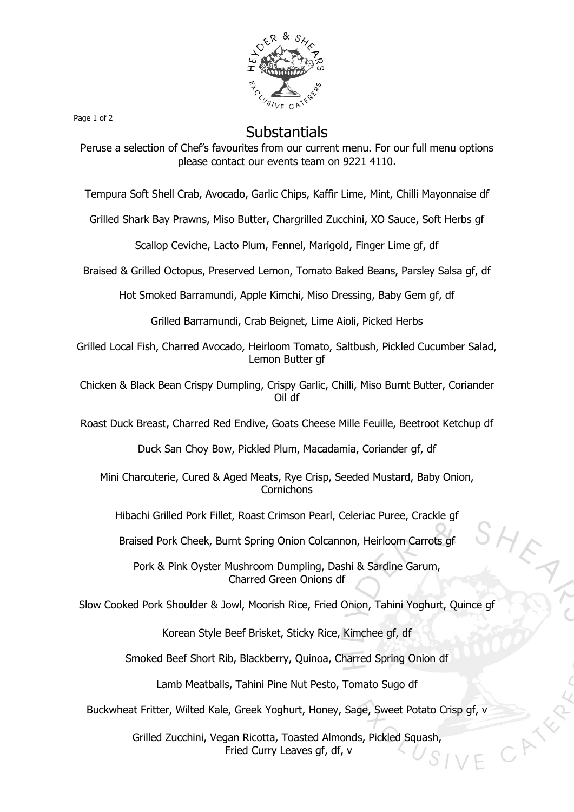

Page 1 of 2

## **Substantials**

Peruse a selection of Chef's favourites from our current menu. For our full menu options please contact our events team on 9221 4110.

Tempura Soft Shell Crab, Avocado, Garlic Chips, Kaffir Lime, Mint, Chilli Mayonnaise df

Grilled Shark Bay Prawns, Miso Butter, Chargrilled Zucchini, XO Sauce, Soft Herbs gf

Scallop Ceviche, Lacto Plum, Fennel, Marigold, Finger Lime gf, df

Braised & Grilled Octopus, Preserved Lemon, Tomato Baked Beans, Parsley Salsa gf, df

Hot Smoked Barramundi, Apple Kimchi, Miso Dressing, Baby Gem gf, df

Grilled Barramundi, Crab Beignet, Lime Aioli, Picked Herbs

Grilled Local Fish, Charred Avocado, Heirloom Tomato, Saltbush, Pickled Cucumber Salad, Lemon Butter gf

Chicken & Black Bean Crispy Dumpling, Crispy Garlic, Chilli, Miso Burnt Butter, Coriander Oil df

Roast Duck Breast, Charred Red Endive, Goats Cheese Mille Feuille, Beetroot Ketchup df

Duck San Choy Bow, Pickled Plum, Macadamia, Coriander gf, df

Mini Charcuterie, Cured & Aged Meats, Rye Crisp, Seeded Mustard, Baby Onion, **Cornichons** 

Hibachi Grilled Pork Fillet, Roast Crimson Pearl, Celeriac Puree, Crackle gf

Braised Pork Cheek, Burnt Spring Onion Colcannon, Heirloom Carrots gf

Pork & Pink Oyster Mushroom Dumpling, Dashi & Sardine Garum, Charred Green Onions df

Slow Cooked Pork Shoulder & Jowl, Moorish Rice, Fried Onion, Tahini Yoghurt, Quince gf

Korean Style Beef Brisket, Sticky Rice, Kimchee gf, df

Smoked Beef Short Rib, Blackberry, Quinoa, Charred Spring Onion df

Lamb Meatballs, Tahini Pine Nut Pesto, Tomato Sugo df

Buckwheat Fritter, Wilted Kale, Greek Yoghurt, Honey, Sage, Sweet Potato Crisp gf, v

Grilled Zucchini, Vegan Ricotta, Toasted Almonds, Pickled Squash, Fried Curry Leaves gf, df, v